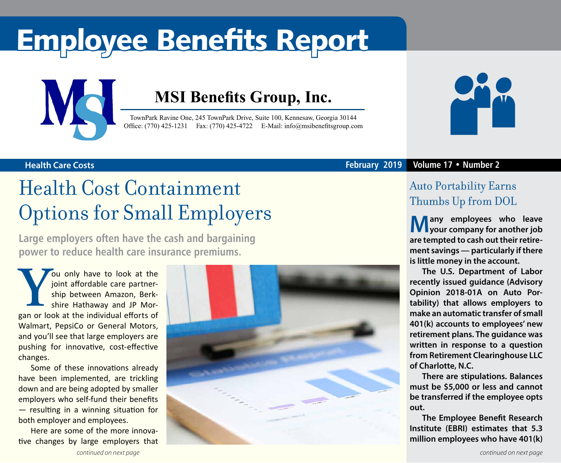# Employee Benefits Report



### **MSI Benefits Group, Inc.**

TownPark Ravine One, 245 TownPark Drive, Suite 100, Kennesaw, Georgia 30144 Office: (770) 425-1231 Fax: (770) 425-4722 E-Mail: [info@msibenefitsgroup.com](mailto:info@msibenefitsgroup.com)



### **Health Care Costs February 2019 Volume 17 • Number 2**

### Health Cost Containment Options for Small Employers

**Large employers often have the cash and bargaining power to reduce health care insurance premiums.**

**You only have to look at the joint affordable care partner-<br>
ship between Amazon, Berk-<br>
shire Hathaway and JP Mor-<br>
gan or look at the individual efforts of** joint affordable care partnership between Amazon, Berkshire Hathaway and JP Mor-Walmart, PepsiCo or General Motors, and you'll see that large employers are pushing for innovative, cost-effective changes.

Some of these innovations already have been implemented, are trickling down and are being adopted by smaller employers who self-fund their benefits — resulting in a winning situation for both employer and employees.

Here are some of the more innovative changes by large employers that



### Auto Portability Earns Thumbs Up from DOL

**Many employees who leave** *l***V** Lyour company for another job **are tempted to cash out their retirement savings — particularly if there is little money in the account.**

**The U.S. Department of Labor recently issued guidance (Advisory Opinion 2018-01A on Auto Portability) that allows employers to make an automatic transfer of small 401(k) accounts to employees' new retirement plans. The guidance was written in response to a question from Retirement Clearinghouse LLC of Charlotte, N.C.**

**There are stipulations. Balances must be \$5,000 or less and cannot be transferred if the employee opts out.**

**The Employee Benefit Research Institute (EBRI) estimates that 5.3 million employees who have 401(k)**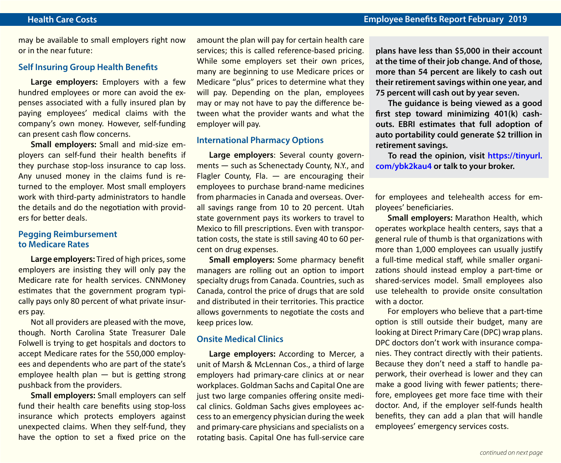may be available to small employers right now or in the near future:

### **Self Insuring Group Health Benefits**

**Large employers:** Employers with a few hundred employees or more can avoid the expenses associated with a fully insured plan by paying employees' medical claims with the company's own money. However, self-funding can present cash flow concerns.

**Small employers:** Small and mid-size employers can self-fund their health benefits if they purchase stop-loss insurance to cap loss. Any unused money in the claims fund is returned to the employer. Most small employers work with third-party administrators to handle the details and do the negotiation with providers for better deals.

### **Pegging Reimbursement to Medicare Rates**

**Large employers:** Tired of high prices, some employers are insisting they will only pay the Medicare rate for health services. CNNMoney estimates that the government program typically pays only 80 percent of what private insurers pay.

Not all providers are pleased with the move, though. North Carolina State Treasurer Dale Folwell is trying to get hospitals and doctors to accept Medicare rates for the 550,000 employees and dependents who are part of the state's employee health plan — but is getting strong pushback from the providers.

**Small employers:** Small employers can self fund their health care benefits using stop-loss insurance which protects employers against unexpected claims. When they self-fund, they have the option to set a fixed price on the amount the plan will pay for certain health care services; this is called reference-based pricing. While some employers set their own prices, many are beginning to use Medicare prices or Medicare "plus" prices to determine what they will pay. Depending on the plan, employees may or may not have to pay the difference between what the provider wants and what the employer will pay.

#### **International Pharmacy Options**

**Large employers**: Several county governments — such as Schenectady County, N.Y., and Flagler County, Fla. — are encouraging their employees to purchase brand-name medicines from pharmacies in Canada and overseas. Overall savings range from 10 to 20 percent. Utah state government pays its workers to travel to Mexico to fill prescriptions. Even with transportation costs, the state is still saving 40 to 60 percent on drug expenses.

**Small employers:** Some pharmacy benefit managers are rolling out an option to import specialty drugs from Canada. Countries, such as Canada, control the price of drugs that are sold and distributed in their territories. This practice allows governments to negotiate the costs and keep prices low.

#### **Onsite Medical Clinics**

**Large employers:** According to Mercer, a unit of Marsh & McLennan Cos., a third of large employers had primary-care clinics at or near workplaces. Goldman Sachs and Capital One are just two large companies offering onsite medical clinics. Goldman Sachs gives employees access to an emergency physician during the week and primary-care physicians and specialists on a rotating basis. Capital One has full-service care

**plans have less than \$5,000 in their account at the time of their job change. And of those, more than 54 percent are likely to cash out their retirement savings within one year, and 75 percent will cash out by year seven.**

**The guidance is being viewed as a good first step toward minimizing 401(k) cashouts. EBRI estimates that full adoption of auto portability could generate \$2 trillion in retirement savings.**

**To read the opinion, visit [https://tinyurl.](https://tinyurl.com/ybk2kau4) [com/ybk2kau4](https://tinyurl.com/ybk2kau4) or talk to your broker.**

for employees and telehealth access for employees' beneficiaries.

**Small employers:** Marathon Health, which operates workplace health centers, says that a general rule of thumb is that organizations with more than 1,000 employees can usually justify a full-time medical staff, while smaller organizations should instead employ a part-time or shared-services model. Small employees also use telehealth to provide onsite consultation with a doctor.

For employers who believe that a part-time option is still outside their budget, many are looking at Direct Primary Care (DPC) wrap plans. DPC doctors don't work with insurance companies. They contract directly with their patients. Because they don't need a staff to handle paperwork, their overhead is lower and they can make a good living with fewer patients; therefore, employees get more face time with their doctor. And, if the employer self-funds health benefits, they can add a plan that will handle employees' emergency services costs.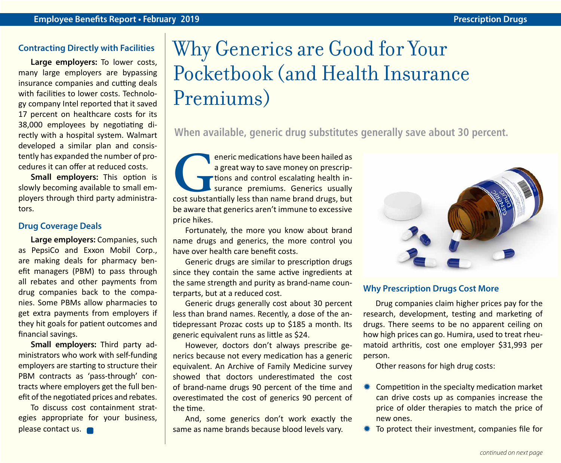### **Contracting Directly with Facilities**

**Large employers:** To lower costs, many large employers are bypassing insurance companies and cutting deals with facilities to lower costs. Technology company Intel reported that it saved 17 percent on healthcare costs for its 38,000 employees by negotiating directly with a hospital system. Walmart developed a similar plan and consistently has expanded the number of procedures it can offer at reduced costs.

**Small employers:** This option is slowly becoming available to small employers through third party administrators.

### **Drug Coverage Deals**

**Large employers:** Companies, such as PepsiCo and Exxon Mobil Corp., are making deals for pharmacy benefit managers (PBM) to pass through all rebates and other payments from drug companies back to the companies. Some PBMs allow pharmacies to get extra payments from employers if they hit goals for patient outcomes and financial savings.

**Small employers:** Third party administrators who work with self-funding employers are starting to structure their PBM contracts as 'pass-through' contracts where employers get the full benefit of the negotiated prices and rebates.

To discuss cost containment strategies appropriate for your business, please contact us.

## Why Generics are Good for Your Pocketbook (and Health Insurance Premiums)

**When available, generic drug substitutes generally save about 30 percent.**

eneric medications have been hailed as<br>
a great way to save money on prescrip-<br>
tions and control escalating health in-<br>
surance premiums. Generics usually<br>
cost substantially less than name brand drugs, but a great way to save money on prescriptions and control escalating health insurance premiums. Generics usually be aware that generics aren't immune to excessive price hikes.

Fortunately, the more you know about brand name drugs and generics, the more control you have over health care benefit costs.

Generic drugs are similar to prescription drugs since they contain the same active ingredients at the same strength and purity as brand-name counterparts, but at a reduced cost.

Generic drugs generally cost about 30 percent less than brand names. Recently, a dose of the antidepressant Prozac costs up to \$185 a month. Its generic equivalent runs as little as \$24.

However, doctors don't always prescribe generics because not every medication has a generic equivalent. An Archive of Family Medicine survey showed that doctors underestimated the cost of brand-name drugs 90 percent of the time and overestimated the cost of generics 90 percent of the time.

And, some generics don't work exactly the same as name brands because blood levels vary.



### **Why Prescription Drugs Cost More**

Drug companies claim higher prices pay for the research, development, testing and marketing of drugs. There seems to be no apparent ceiling on how high prices can go. Humira, used to treat rheumatoid arthritis, cost one employer \$31,993 per person.

Other reasons for high drug costs:

- $*$  Competition in the specialty medication market can drive costs up as companies increase the price of older therapies to match the price of new ones.
- $*$  To protect their investment, companies file for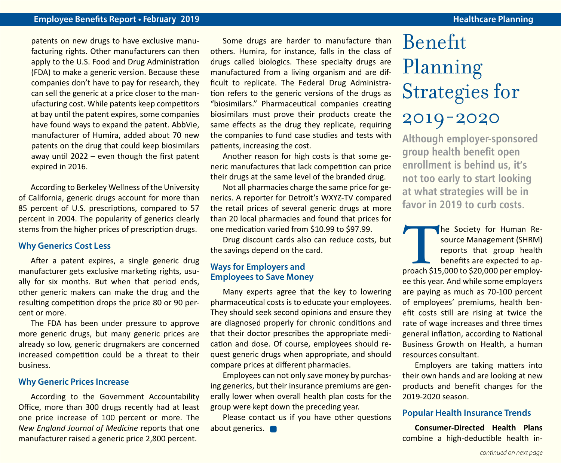### **Employee Benefits Report • February 2019 Healthcare Planning**

patents on new drugs to have exclusive manufacturing rights. Other manufacturers can then apply to the U.S. Food and Drug Administration (FDA) to make a generic version. Because these companies don't have to pay for research, they can sell the generic at a price closer to the manufacturing cost. While patents keep competitors at bay until the patent expires, some companies have found ways to expand the patent. AbbVie, manufacturer of Humira, added about 70 new patents on the drug that could keep biosimilars away until 2022 – even though the first patent expired in 2016.

According to Berkeley Wellness of the University of California, generic drugs account for more than 85 percent of U.S. prescriptions, compared to 57 percent in 2004. The popularity of generics clearly stems from the higher prices of prescription drugs.

### **Why Generics Cost Less**

After a patent expires, a single generic drug manufacturer gets exclusive marketing rights, usually for six months. But when that period ends, other generic makers can make the drug and the resulting competition drops the price 80 or 90 percent or more.

The FDA has been under pressure to approve more generic drugs, but many generic prices are already so low, generic drugmakers are concerned increased competition could be a threat to their business.

### **Why Generic Prices Increase**

According to the Government Accountability Office, more than 300 drugs recently had at least one price increase of 100 percent or more. The *New England Journal of Medicine* reports that one manufacturer raised a generic price 2,800 percent.

Some drugs are harder to manufacture than others. Humira, for instance, falls in the class of drugs called biologics. These specialty drugs are manufactured from a living organism and are difficult to replicate. The Federal Drug Administration refers to the generic versions of the drugs as "biosimilars." Pharmaceutical companies creating biosimilars must prove their products create the same effects as the drug they replicate, requiring the companies to fund case studies and tests with patients, increasing the cost.

Another reason for high costs is that some generic manufactures that lack competition can price their drugs at the same level of the branded drug.

Not all pharmacies charge the same price for generics. A reporter for Detroit's WXYZ-TV compared the retail prices of several generic drugs at more than 20 local pharmacies and found that prices for one medication varied from \$10.99 to \$97.99.

Drug discount cards also can reduce costs, but the savings depend on the card.

### **Ways for Employers and Employees to Save Money**

Many experts agree that the key to lowering pharmaceutical costs is to educate your employees. They should seek second opinions and ensure they are diagnosed properly for chronic conditions and that their doctor prescribes the appropriate medication and dose. Of course, employees should request generic drugs when appropriate, and should compare prices at different pharmacies.

Employees can not only save money by purchasing generics, but their insurance premiums are generally lower when overall health plan costs for the group were kept down the preceding year.

Please contact us if you have other questions about generics.

### Benefit Planning Strategies for 2019-2020

**Although employer-sponsored group health benefit open enrollment is behind us, it's not too early to start looking at what strategies will be in favor in 2019 to curb costs.**

The Society for Human Resource Management (SHRM)<br>
reports that group health<br>
benefits are expected to ap-<br>
proach \$15,000 to \$20,000 per employsource Management (SHRM) reports that group health benefits are expected to apee this year. And while some employers are paying as much as 70-100 percent of employees' premiums, health benefit costs still are rising at twice the rate of wage increases and three times general inflation, according to National Business Growth on Health, a human resources consultant.

Employers are taking matters into their own hands and are looking at new products and benefit changes for the 2019-2020 season.

### **Popular Health Insurance Trends**

**Consumer-Directed Health Plans**  combine a high-deductible health in-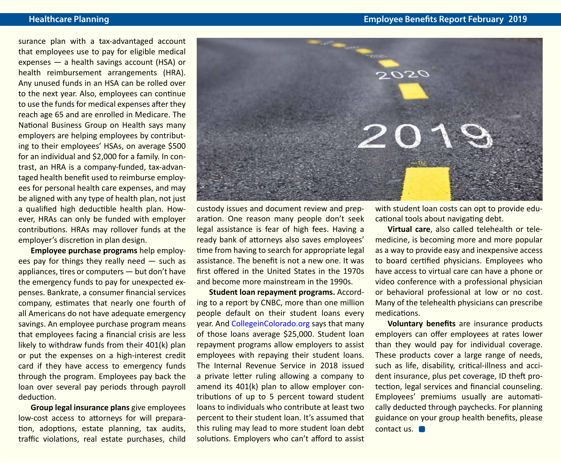**Healthcare Planning Employee Benefits Report February 2019**

surance plan with a tax-advantaged account that employees use to pay for eligible medical expenses — a health savings account (HSA) or health reimbursement arrangements (HRA). Any unused funds in an HSA can be rolled over to the next year. Also, employees can continue to use the funds for medical expenses after they reach age 65 and are enrolled in Medicare. The National Business Group on Health says many employers are helping employees by contributing to their employees' HSAs, on average \$500 for an individual and \$2,000 for a family. In contrast, an HRA is a company-funded, tax-advantaged health benefit used to reimburse employees for personal health care expenses, and may be aligned with any type of health plan, not just a qualified high deductible health plan. However, HRAs can only be funded with employer contributions. HRAs may rollover funds at the employer's discretion in plan design.

**Employee purchase programs** help employees pay for things they really need — such as appliances, tires or computers — but don't have the emergency funds to pay for unexpected expenses. Bankrate, a consumer financial services company, estimates that nearly one fourth of all Americans do not have adequate emergency savings. An employee purchase program means that employees facing a financial crisis are less likely to withdraw funds from their 401(k) plan or put the expenses on a high-interest credit card if they have access to emergency funds through the program. Employees pay back the loan over several pay periods through payroll deduction.

**Group legal insurance plans** give employees low-cost access to attorneys for will preparation, adoptions, estate planning, tax audits, traffic violations, real estate purchases, child



custody issues and document review and preparation. One reason many people don't seek legal assistance is fear of high fees. Having a ready bank of attorneys also saves employees' time from having to search for appropriate legal assistance. The benefit is not a new one. It was first offered in the United States in the 1970s and become more mainstream in the 1990s.

**Student loan repayment programs.** According to a report by CNBC, more than one million people default on their student loans every year. And [CollegeinColorado.org](http://CollegeinColorado.org) says that many of those loans average \$25,000. Student loan repayment programs allow employers to assist employees with repaying their student loans. The Internal Revenue Service in 2018 issued a private letter ruling allowing a company to amend its 401(k) plan to allow employer contributions of up to 5 percent toward student loans to individuals who contribute at least two percent to their student loan. It's assumed that this ruling may lead to more student loan debt solutions. Employers who can't afford to assist with student loan costs can opt to provide educational tools about navigating debt.

**Virtual care**, also called telehealth or telemedicine, is becoming more and more popular as a way to provide easy and inexpensive access to board certified physicians. Employees who have access to virtual care can have a phone or video conference with a professional physician or behavioral professional at low or no cost. Many of the telehealth physicians can prescribe medications.

**Voluntary benefits** are insurance products employers can offer employees at rates lower than they would pay for individual coverage. These products cover a large range of needs, such as life, disability, critical-illness and accident insurance, plus pet coverage, ID theft protection, legal services and financial counseling. Employees' premiums usually are automatically deducted through paychecks. For planning guidance on your group health benefits, please contact us.